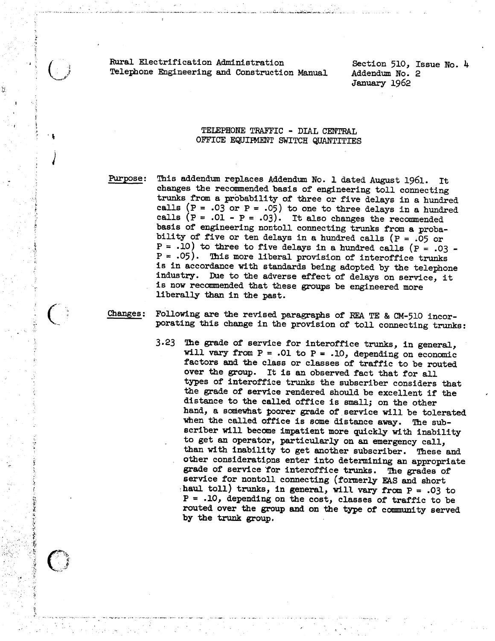Rural Electrification Administration Telephone Engineering and Construction Manual

Section 510, Issue No. 4 Addendum No. 2 January 1962

## TElEPHONE TRAFFIC - DIAL CENTRAL OFFICE EQUIFMENT SWITCH QUANTITIES

Purpose:

.,

*)* 

This addendum replaces Addendum No. 1 dated August 1961. It<br>changes the recommended basis of engineering toll connecting<br>trunks from a probability of three or five delays in a hundred<br>calls ( $P = .03$  or  $P = .05$ ) to one to

Changes:

Following are the revised paragraphs of REA TE & CM-510 incor- porating this change in the provision of toll connecting trunks:

3.23 The grade of service for interoffice trunks, in general,<br>will vary from  $P = .01$  to  $P = .10$ , depending on economic factors and the class or classes of traffic to be routed over the group. It is an observed fact that for all types of interoffice trunks the subscriber considers that the grade of service rendered should be excellent if the distance to the called office is small; on the other hand, a somewhat poorer grade of service will be tolerated when the called office is some distance away. The sub-<br>scriber will become impatient more quickly with inability<br>to get an operator, particularly on an emergency call,<br>than with inability to get another subscriber. These routed over the group and on the type of community served by the trunk group.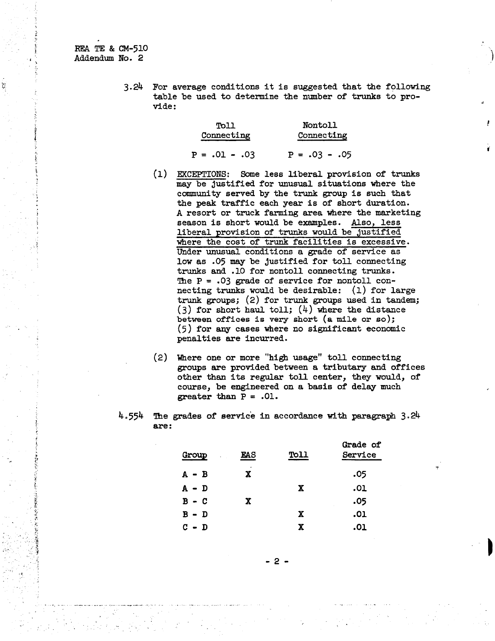REA TE & CM-510 Addendum No. 2 )

 $\ddot{\bullet}$ 

V)

3.24 For average conditions it is suggested that the following table be used to determine the number of trunks to provide:

| Toll          | <b>Nontoll</b><br>Connecting |  |  |
|---------------|------------------------------|--|--|
| Connecting    |                              |  |  |
| 03. – 10. = P | $P = .03 - .05$              |  |  |

*t* 

- (1) EXCEPTIONS: Some less liberal provision of trunks may be justified for unusual situations where the community served by the trunk group is such that the peak traffic each year is of short duration. A resort or truck farming area where the marketing season is short would be examples. Also, less liberal provision of trunks would be justified where the cost of trunk facilities is excessive. Under unusual conditions a grade of service as low as .05 may be justified for toll connecting trunks and .10 for nontoll connecting trunks. The  $P = .03$  grade of service for nontoll connecting trunks would be desirable: {1) for large trunk groups; (2) for trunk groups used in tandem; (3) for short haul toll;  $(4)$  where the distance between offices is very short (a mile or so); (5) for any cases where no significant economic penalties are incurred.
- (2) Where one or more ''higb usage" toll connecting groups are provided between a tributary and offices other than its regular toll center, they would, of course, be engineered on a basis of delay much greater than  $P = .01$ .
- 4.554 The grades of service in accordance with paragraph 3.24 are:

| <b>Group</b><br>$\sim 10^{-1}$ | EAS         | <b>Toll</b> | Grade of<br>Service |
|--------------------------------|-------------|-------------|---------------------|
| $A - B$                        | $\sim$<br>X |             | .05                 |
| A – D                          |             | X           | .01                 |
| $B - C$                        | X           |             | .05                 |
| $B - D$                        |             | X           | .01                 |
| C.<br>- D                      |             | X           | .01                 |

 $\frac{1}{2}$  -defined by the contract of the contract of the contract of the contract of the contract of the contract of the contract of the contract of the contract of the contract of the contract of the contract of the con 2 -